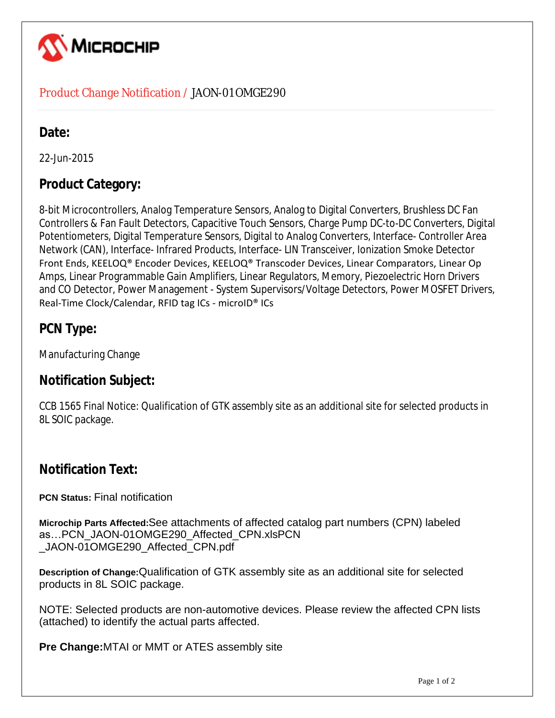

#### Product Change Notification / JAON-01OMGE290

## Date:

22-Jun-2015

# **Product Category:**

8-bit Microcontrollers, Analog Temperature Sensors, Analog to Digital Converters, Brushless DC Fan Controllers & Fan Fault Detectors, Capacitive Touch Sensors, Charge Pump DC-to-DC Converters, Digital Potentiometers, Digital Temperature Sensors, Digital to Analog Converters, Interface- Controller Area Network (CAN), Interface- Infrared Products, Interface- LIN Transceiver, Ionization Smoke Detector Front Ends, KEELOQ® Encoder Devices, KEELOQ® Transcoder Devices, Linear Comparators, Linear Op Amps, Linear Programmable Gain Amplifiers, Linear Regulators, Memory, Piezoelectric Horn Drivers and CO Detector, Power Management - System Supervisors/Voltage Detectors, Power MOSFET Drivers, Real-Time Clock/Calendar, RFID tag ICs - microID® ICs

# **PCN Type:**

Manufacturing Change

## **Notification Subject:**

CCB 1565 Final Notice: Qualification of GTK assembly site as an additional site for selected products in 8L SOIC package.

## **Notification Text:**

**PCN Status:** Final notification

**Microchip Parts Affected:**See attachments of affected catalog part numbers (CPN) labeled as…PCN\_JAON-01OMGE290\_Affected\_CPN.xlsPCN \_JAON-01OMGE290\_Affected\_CPN.pdf

**Description of Change:**Qualification of GTK assembly site as an additional site for selected products in 8L SOIC package.

NOTE: Selected products are non-automotive devices. Please review the affected CPN lists (attached) to identify the actual parts affected.

**Pre Change:**MTAI or MMT or ATES assembly site